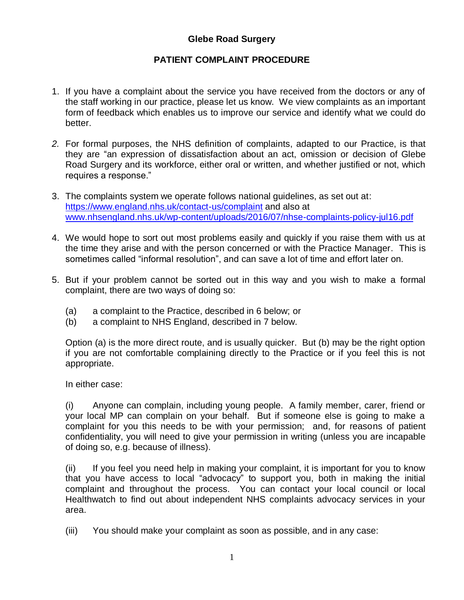## **Glebe Road Surgery**

#### **PATIENT COMPLAINT PROCEDURE**

- 1. If you have a complaint about the service you have received from the doctors or any of the staff working in our practice, please let us know. We view complaints as an important form of feedback which enables us to improve our service and identify what we could do better.
- *2.* For formal purposes, the NHS definition of complaints, adapted to our Practice, is that they are "an expression of dissatisfaction about an act, omission or decision of Glebe Road Surgery and its workforce, either oral or written, and whether justified or not, which requires a response."
- 3. The complaints system we operate follows national guidelines, as set out at: <https://www.england.nhs.uk/contact-us/complaint> and also at [www.nhsengland.nhs.uk/wp-content/uploads/2016/07/nhse-complaints-policy-jul16.pdf](http://www.nhsengland.nhs.uk/wp-content/uploads/2016/07/nhse-complaints-policy-jul16.pdf)
- 4. We would hope to sort out most problems easily and quickly if you raise them with us at the time they arise and with the person concerned or with the Practice Manager. This is sometimes called "informal resolution", and can save a lot of time and effort later on.
- 5. But if your problem cannot be sorted out in this way and you wish to make a formal complaint, there are two ways of doing so:
	- (a) a complaint to the Practice, described in 6 below; or
	- (b) a complaint to NHS England, described in 7 below.

Option (a) is the more direct route, and is usually quicker. But (b) may be the right option if you are not comfortable complaining directly to the Practice or if you feel this is not appropriate.

In either case:

(i) Anyone can complain, including young people. A family member, carer, friend or your local MP can complain on your behalf. But if someone else is going to make a complaint for you this needs to be with your permission; and, for reasons of patient confidentiality, you will need to give your permission in writing (unless you are incapable of doing so, e.g. because of illness).

(ii) If you feel you need help in making your complaint, it is important for you to know that you have access to local "advocacy" to support you, both in making the initial complaint and throughout the process. You can contact your local council or local Healthwatch to find out about independent NHS complaints advocacy services in your area.

(iii) You should make your complaint as soon as possible, and in any case: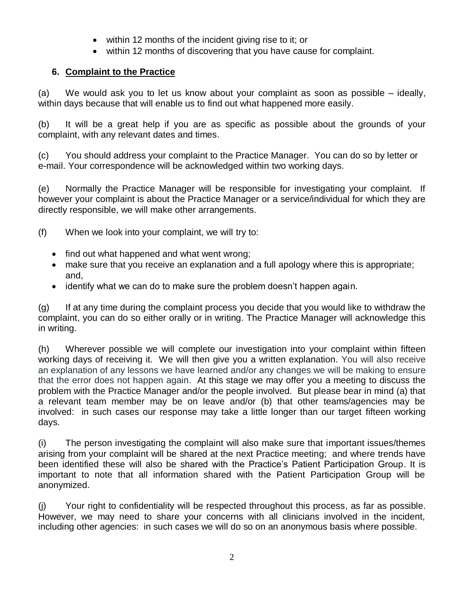- $\bullet$  within 12 months of the incident giving rise to it; or
- within 12 months of discovering that you have cause for complaint.

# **6. Complaint to the Practice**

(a) We would ask you to let us know about your complaint as soon as possible – ideally, within days because that will enable us to find out what happened more easily.

(b) It will be a great help if you are as specific as possible about the grounds of your complaint, with any relevant dates and times.

(c) You should address your complaint to the Practice Manager. You can do so by letter or e-mail. Your correspondence will be acknowledged within two working days.

(e) Normally the Practice Manager will be responsible for investigating your complaint. If however your complaint is about the Practice Manager or a service/individual for which they are directly responsible, we will make other arrangements.

- (f) When we look into your complaint, we will try to:
	- find out what happened and what went wrong;
	- make sure that you receive an explanation and a full apology where this is appropriate; and,
	- identify what we can do to make sure the problem doesn't happen again.

(g) If at any time during the complaint process you decide that you would like to withdraw the complaint, you can do so either orally or in writing. The Practice Manager will acknowledge this in writing.

(h) Wherever possible we will complete our investigation into your complaint within fifteen working days of receiving it. We will then give you a written explanation. You will also receive an explanation of any lessons we have learned and/or any changes we will be making to ensure that the error does not happen again. At this stage we may offer you a meeting to discuss the problem with the Practice Manager and/or the people involved. But please bear in mind (a) that a relevant team member may be on leave and/or (b) that other teams/agencies may be involved: in such cases our response may take a little longer than our target fifteen working days.

(i) The person investigating the complaint will also make sure that important issues/themes arising from your complaint will be shared at the next Practice meeting; and where trends have been identified these will also be shared with the Practice's Patient Participation Group. It is important to note that all information shared with the Patient Participation Group will be anonymized.

(j) Your right to confidentiality will be respected throughout this process, as far as possible. However, we may need to share your concerns with all clinicians involved in the incident, including other agencies: in such cases we will do so on an anonymous basis where possible.